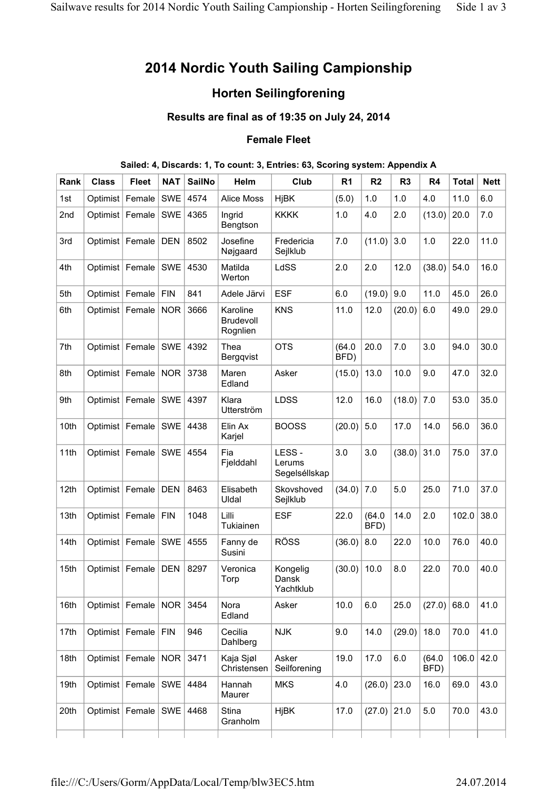# **2014 Nordic Youth Sailing Campionship**

## **Horten Seilingforening**

### **Results are final as of 19:35 on July 24, 2014**

#### **Female Fleet**

#### **Sailed: 4, Discards: 1, To count: 3, Entries: 63, Scoring system: Appendix A**

| Rank | <b>Class</b>      | <b>Fleet</b> | <b>NAT</b> | <b>SailNo</b> | Helm                                     | Club                             | R <sub>1</sub> | R <sub>2</sub> | R <sub>3</sub> | R4             | <b>Total</b> | <b>Nett</b> |
|------|-------------------|--------------|------------|---------------|------------------------------------------|----------------------------------|----------------|----------------|----------------|----------------|--------------|-------------|
| 1st  | Optimist          | Female       | <b>SWE</b> | 4574          | <b>Alice Moss</b>                        | <b>HjBK</b>                      | (5.0)          | 1.0            | 1.0            | 4.0            | 11.0         | 6.0         |
| 2nd  | Optimist          | Female       | <b>SWE</b> | 4365          | Ingrid<br>Bengtson                       | <b>KKKK</b>                      | 1.0            | 4.0            | 2.0            | (13.0)         | 20.0         | 7.0         |
| 3rd  | Optimist   Female |              | <b>DEN</b> | 8502          | Josefine<br>Nøjgaard                     | Fredericia<br>Sejlklub           | 7.0            | (11.0)         | 3.0            | 1.0            | 22.0         | 11.0        |
| 4th  | Optimist Female   |              | <b>SWE</b> | 4530          | Matilda<br>Werton                        | LdSS                             | 2.0            | 2.0            | 12.0           | (38.0)         | 54.0         | 16.0        |
| 5th  | Optimist   Female |              | <b>FIN</b> | 841           | Adele Järvi                              | <b>ESF</b>                       | 6.0            | (19.0)         | 9.0            | 11.0           | 45.0         | 26.0        |
| 6th  | Optimist          | Female       | <b>NOR</b> | 3666          | Karoline<br><b>Brudevoll</b><br>Rognlien | <b>KNS</b>                       | 11.0           | 12.0           | (20.0)         | 6.0            | 49.0         | 29.0        |
| 7th  | Optimist   Female |              | <b>SWE</b> | 4392          | Thea<br>Bergqvist                        | <b>OTS</b>                       | (64.0)<br>BFD) | 20.0           | 7.0            | 3.0            | 94.0         | 30.0        |
| 8th  | Optimist   Female |              | <b>NOR</b> | 3738          | Maren<br>Edland                          | Asker                            | (15.0)         | 13.0           | 10.0           | 9.0            | 47.0         | 32.0        |
| 9th  | Optimist          | Female       | <b>SWE</b> | 4397          | Klara<br>Utterström                      | <b>LDSS</b>                      | 12.0           | 16.0           | (18.0)         | 7.0            | 53.0         | 35.0        |
| 10th | Optimist   Female |              | <b>SWE</b> | 4438          | Elin Ax<br>Karjel                        | <b>BOOSS</b>                     | (20.0)         | 5.0            | 17.0           | 14.0           | 56.0         | 36.0        |
| 11th | Optimist   Female |              | <b>SWE</b> | 4554          | Fia<br>Fjelddahl                         | LESS-<br>Lerums<br>Segelséllskap | 3.0            | 3.0            | (38.0)         | 31.0           | 75.0         | 37.0        |
| 12th | Optimist   Female |              | <b>DEN</b> | 8463          | Elisabeth<br>Uldal                       | Skovshoved<br>Sejlklub           | (34.0)         | 7.0            | 5.0            | 25.0           | 71.0         | 37.0        |
| 13th | Optimist   Female |              | <b>FIN</b> | 1048          | Lilli<br>Tukiainen                       | <b>ESF</b>                       | 22.0           | (64.0)<br>BFD) | 14.0           | 2.0            | 102.0        | 38.0        |
| 14th | Optimist   Female |              | SWE        | 4555          | Fanny de<br>Susini                       | <b>RÖSS</b>                      | (36.0)         | 8.0            | 22.0           | 10.0           | 76.0         | 40.0        |
| 15th | Optimist          | Female       | <b>DEN</b> | 8297          | Veronica<br>Torp                         | Kongelig<br>Dansk<br>Yachtklub   | (30.0)         | 10.0           | 8.0            | 22.0           | 70.0         | 40.0        |
| 16th | Optimist   Female |              | NOR        | 3454          | Nora<br>Edland                           | Asker                            | 10.0           | 6.0            | 25.0           | (27.0)         | 68.0         | 41.0        |
| 17th | Optimist Female   |              | <b>FIN</b> | 946           | Cecilia<br>Dahlberg                      | <b>NJK</b>                       | 9.0            | 14.0           | (29.0)         | 18.0           | 70.0         | 41.0        |
| 18th | Optimist Female   |              | <b>NOR</b> | 3471          | Kaja Sjøl<br>Christensen                 | Asker<br>Seilforening            | 19.0           | 17.0           | 6.0            | (64.0)<br>BFD) | 106.0        | 42.0        |
| 19th | Optimist   Female |              | SWE        | 4484          | Hannah<br>Maurer                         | <b>MKS</b>                       | 4.0            | (26.0)         | 23.0           | 16.0           | 69.0         | 43.0        |
| 20th | Optimist   Female |              | SWE        | 4468          | Stina<br>Granholm                        | <b>HjBK</b>                      | 17.0           | (27.0)         | 21.0           | 5.0            | 70.0         | 43.0        |
|      |                   |              |            |               |                                          |                                  |                |                |                |                |              |             |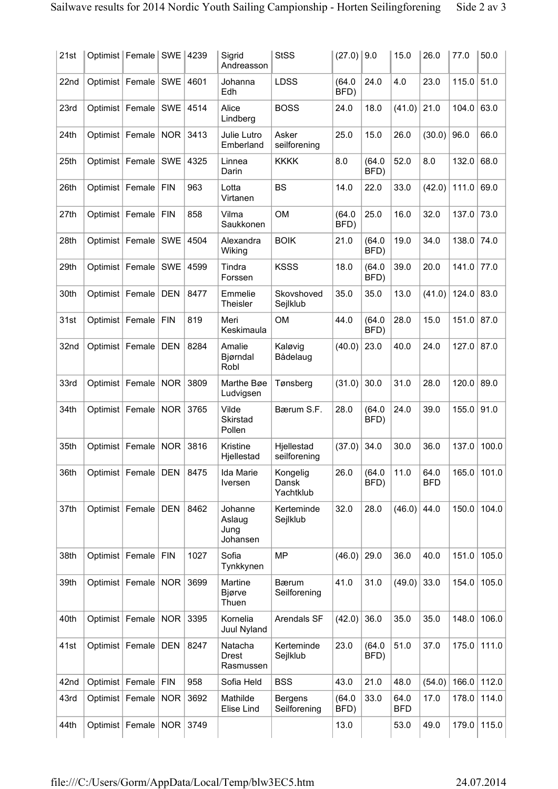| 21st | Optimist   Female   SWE |                   |            | 4239 | Sigrid<br>Andreasson                  | <b>StSS</b>                    | (27.0)         | 9.0            | 15.0               | 26.0               | 77.0  | 50.0  |
|------|-------------------------|-------------------|------------|------|---------------------------------------|--------------------------------|----------------|----------------|--------------------|--------------------|-------|-------|
| 22nd | Optimist   Female       |                   | <b>SWE</b> | 4601 | Johanna<br>Edh                        | <b>LDSS</b>                    | (64.0)<br>BFD) | 24.0           | 4.0                | 23.0               | 115.0 | 51.0  |
| 23rd | Optimist   Female       |                   | <b>SWE</b> | 4514 | Alice<br>Lindberg                     | <b>BOSS</b>                    | 24.0           | 18.0           | (41.0)             | 21.0               | 104.0 | 63.0  |
| 24th | Optimist   Female       |                   | <b>NOR</b> | 3413 | Julie Lutro<br>Emberland              | Asker<br>seilforening          | 25.0           | 15.0           | 26.0               | (30.0)             | 96.0  | 66.0  |
| 25th | Optimist   Female       |                   | <b>SWE</b> | 4325 | Linnea<br>Darin                       | <b>KKKK</b>                    | 8.0            | (64.0)<br>BFD) | 52.0               | 8.0                | 132.0 | 68.0  |
| 26th | Optimist   Female       |                   | <b>FIN</b> | 963  | Lotta<br>Virtanen                     | <b>BS</b>                      | 14.0           | 22.0           | 33.0               | (42.0)             | 111.0 | 69.0  |
| 27th | Optimist                | Female            | <b>FIN</b> | 858  | Vilma<br>Saukkonen                    | <b>OM</b>                      | (64.0)<br>BFD) | 25.0           | 16.0               | 32.0               | 137.0 | 73.0  |
| 28th | Optimist                | Female            | <b>SWE</b> | 4504 | Alexandra<br>Wiking                   | <b>BOIK</b>                    | 21.0           | (64.0)<br>BFD) | 19.0               | 34.0               | 138.0 | 74.0  |
| 29th | Optimist Female         |                   | <b>SWE</b> | 4599 | Tindra<br>Forssen                     | <b>KSSS</b>                    | 18.0           | (64.0)<br>BFD) | 39.0               | 20.0               | 141.0 | 77.0  |
| 30th | Optimist                | Female            | <b>DEN</b> | 8477 | Emmelie<br><b>Theisler</b>            | Skovshoved<br>Sejlklub         | 35.0           | 35.0           | 13.0               | (41.0)             | 124.0 | 83.0  |
| 31st | Optimist   Female       |                   | <b>FIN</b> | 819  | Meri<br>Keskimaula                    | <b>OM</b>                      | 44.0           | (64.0)<br>BFD) | 28.0               | 15.0               | 151.0 | 87.0  |
| 32nd | Optimist   Female       |                   | <b>DEN</b> | 8284 | Amalie<br>Bjørndal<br>Robl            | Kaløvig<br>Bådelaug            | (40.0)         | 23.0           | 40.0               | 24.0               | 127.0 | 87.0  |
| 33rd | Optimist                | Female            | <b>NOR</b> | 3809 | Marthe Bøe<br>Ludvigsen               | Tønsberg                       | (31.0)         | 30.0           | 31.0               | 28.0               | 120.0 | 89.0  |
| 34th | Optimist                | Female            | <b>NOR</b> | 3765 | Vilde<br>Skirstad<br>Pollen           | Bærum S.F.                     | 28.0           | (64.0)<br>BFD) | 24.0               | 39.0               | 155.0 | 91.0  |
| 35th | Optimist   Female       |                   | <b>NOR</b> | 3816 | Kristine<br>Hjellestad                | Hjellestad<br>seilforening     | (37.0)         | 34.0           | 30.0               | 36.0               | 137.0 | 100.0 |
| 36th |                         | Optimist Female   | <b>DEN</b> | 8475 | Ida Marie<br>Iversen                  | Kongelig<br>Dansk<br>Yachtklub | 26.0           | (64.0)<br>BFD) | 11.0               | 64.0<br><b>BFD</b> | 165.0 | 101.0 |
| 37th |                         | Optimist Female   | <b>DEN</b> | 8462 | Johanne<br>Aslaug<br>Jung<br>Johansen | Kerteminde<br>Sejlklub         | 32.0           | 28.0           | (46.0)             | 44.0               | 150.0 | 104.0 |
| 38th | Optimist   Female       |                   | <b>FIN</b> | 1027 | Sofia<br>Tynkkynen                    | <b>MP</b>                      | (46.0)         | 29.0           | 36.0               | 40.0               | 151.0 | 105.0 |
| 39th |                         | Optimist   Female | <b>NOR</b> | 3699 | Martine<br>Bjørve<br>Thuen            | <b>B</b> ærum<br>Seilforening  | 41.0           | 31.0           | (49.0)             | 33.0               | 154.0 | 105.0 |
| 40th |                         | Optimist Female   | <b>NOR</b> | 3395 | Kornelia<br>Juul Nyland               | Arendals SF                    | (42.0)         | 36.0           | 35.0               | 35.0               | 148.0 | 106.0 |
| 41st | Optimist   Female       |                   | <b>DEN</b> | 8247 | Natacha<br><b>Drest</b><br>Rasmussen  | Kerteminde<br>Sejlklub         | 23.0           | (64.0)<br>BFD) | 51.0               | 37.0               | 175.0 | 111.0 |
| 42nd | Optimist   Female       |                   | <b>FIN</b> | 958  | Sofia Held                            | <b>BSS</b>                     | 43.0           | 21.0           | 48.0               | (54.0)             | 166.0 | 112.0 |
| 43rd | Optimist                | Female            | <b>NOR</b> | 3692 | Mathilde<br>Elise Lind                | <b>Bergens</b><br>Seilforening | (64.0)<br>BFD) | 33.0           | 64.0<br><b>BFD</b> | 17.0               | 178.0 | 114.0 |
| 44th |                         | Optimist   Female | <b>NOR</b> | 3749 |                                       |                                | 13.0           |                | 53.0               | 49.0               | 179.0 | 115.0 |